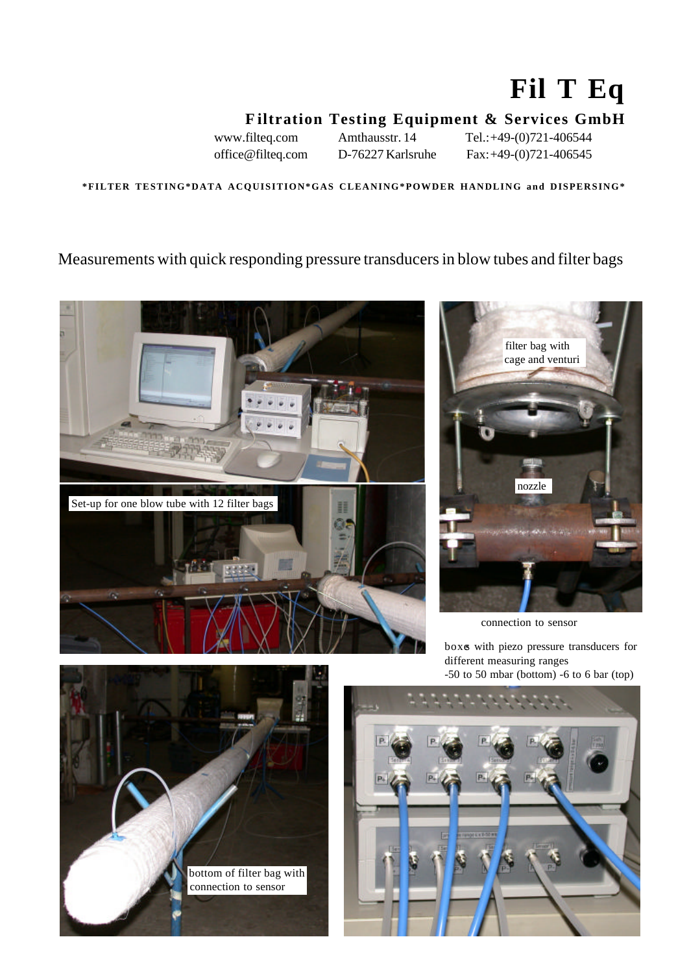# **Fil T Eq**

# **F iltration Testing Equipment & Services GmbH**

www.filteq.com Amthausstr. 14 Tel.: +49-(0)721-406544 office@filteq.com D-76227 Karlsruhe Fax: +49-(0)721-406545

**\*FILTER TESTING\*DATA ACQUISITION\*GAS CLEANING\*POWDER HANDLING and DISPERSING\***

#### Measurements with quick responding pressure transducers in blow tubes and filter bags





connection to sensor

boxes with piezo pressure transducers for different measuring ranges -50 to 50 mbar (bottom) -6 to 6 bar (top)



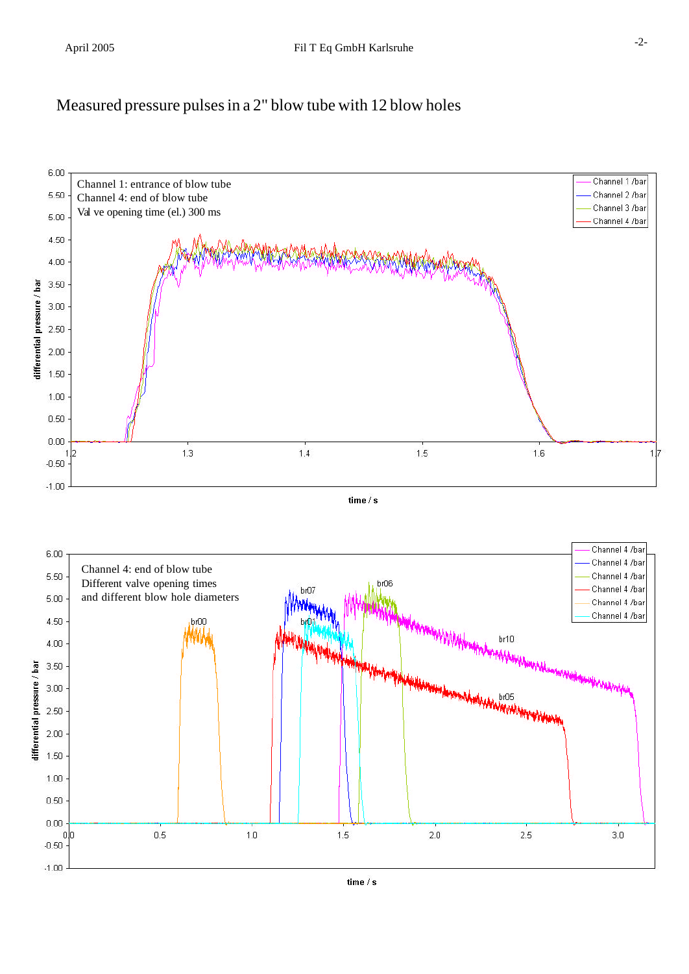## Measured pressure pulses in a 2" blow tube with 12 blow holes



 $time/s$